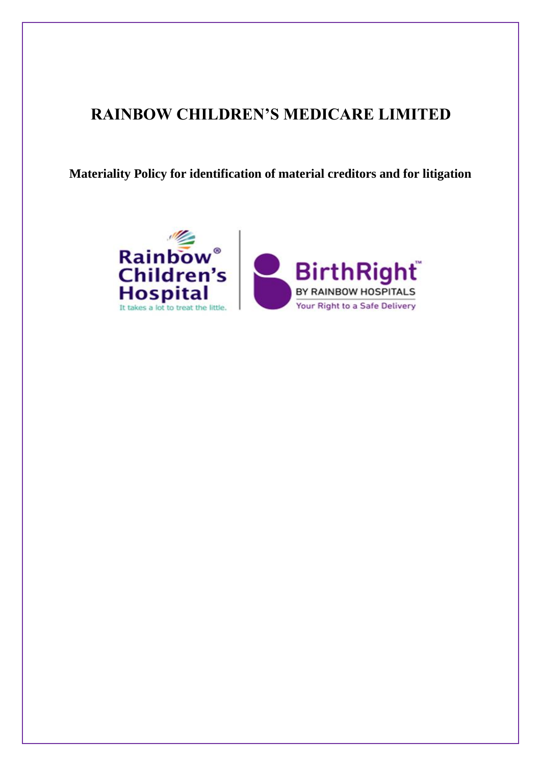# **RAINBOW CHILDREN'S MEDICARE LIMITED**

**Materiality Policy for identification of material creditors and for litigation**

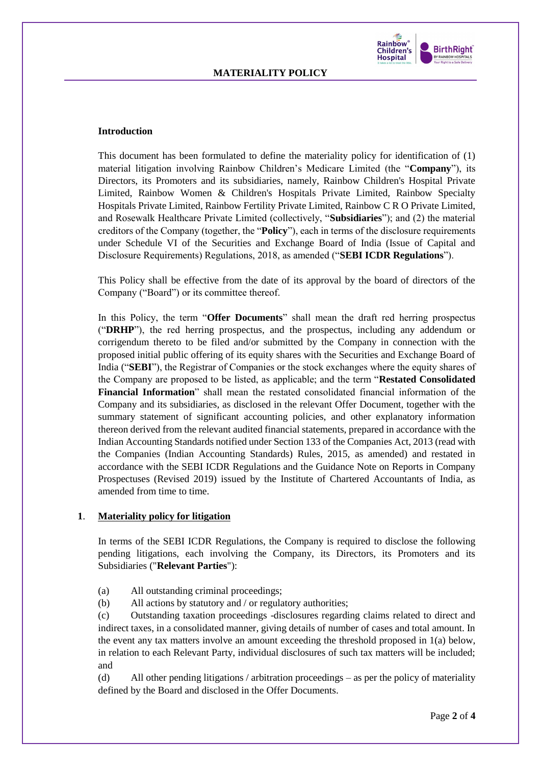

#### **Introduction**

This document has been formulated to define the materiality policy for identification of (1) material litigation involving Rainbow Children's Medicare Limited (the "**Company**"), its Directors, its Promoters and its subsidiaries, namely, Rainbow Children's Hospital Private Limited, Rainbow Women & Children's Hospitals Private Limited, Rainbow Specialty Hospitals Private Limited, Rainbow Fertility Private Limited, Rainbow C R O Private Limited, and Rosewalk Healthcare Private Limited (collectively, "**Subsidiaries**"); and (2) the material creditors of the Company (together, the "**Policy**"), each in terms of the disclosure requirements under Schedule VI of the Securities and Exchange Board of India (Issue of Capital and Disclosure Requirements) Regulations, 2018, as amended ("**SEBI ICDR Regulations**").

This Policy shall be effective from the date of its approval by the board of directors of the Company ("Board") or its committee thereof.

In this Policy, the term "**Offer Documents**" shall mean the draft red herring prospectus ("**DRHP**"), the red herring prospectus, and the prospectus, including any addendum or corrigendum thereto to be filed and/or submitted by the Company in connection with the proposed initial public offering of its equity shares with the Securities and Exchange Board of India ("**SEBI**"), the Registrar of Companies or the stock exchanges where the equity shares of the Company are proposed to be listed, as applicable; and the term "**Restated Consolidated Financial Information**" shall mean the restated consolidated financial information of the Company and its subsidiaries, as disclosed in the relevant Offer Document, together with the summary statement of significant accounting policies, and other explanatory information thereon derived from the relevant audited financial statements, prepared in accordance with the Indian Accounting Standards notified under Section 133 of the Companies Act, 2013 (read with the Companies (Indian Accounting Standards) Rules, 2015, as amended) and restated in accordance with the SEBI ICDR Regulations and the Guidance Note on Reports in Company Prospectuses (Revised 2019) issued by the Institute of Chartered Accountants of India, as amended from time to time.

### **1**. **Materiality policy for litigation**

In terms of the SEBI ICDR Regulations, the Company is required to disclose the following pending litigations, each involving the Company, its Directors, its Promoters and its Subsidiaries ("**Relevant Parties**"):

- (a) All outstanding criminal proceedings;
- (b) All actions by statutory and / or regulatory authorities;

(c) Outstanding taxation proceedings -disclosures regarding claims related to direct and indirect taxes, in a consolidated manner, giving details of number of cases and total amount. In the event any tax matters involve an amount exceeding the threshold proposed in 1(a) below, in relation to each Relevant Party, individual disclosures of such tax matters will be included; and

(d) All other pending litigations / arbitration proceedings – as per the policy of materiality defined by the Board and disclosed in the Offer Documents.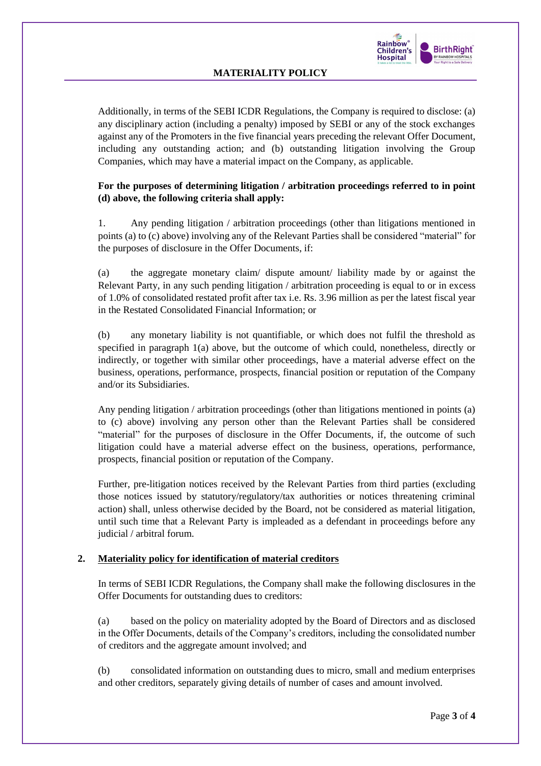

# **MATERIALITY POLICY**

Additionally, in terms of the SEBI ICDR Regulations, the Company is required to disclose: (a) any disciplinary action (including a penalty) imposed by SEBI or any of the stock exchanges against any of the Promoters in the five financial years preceding the relevant Offer Document, including any outstanding action; and (b) outstanding litigation involving the Group Companies, which may have a material impact on the Company, as applicable.

## **For the purposes of determining litigation / arbitration proceedings referred to in point (d) above, the following criteria shall apply:**

1. Any pending litigation / arbitration proceedings (other than litigations mentioned in points (a) to (c) above) involving any of the Relevant Parties shall be considered "material" for the purposes of disclosure in the Offer Documents, if:

(a) the aggregate monetary claim/ dispute amount/ liability made by or against the Relevant Party, in any such pending litigation / arbitration proceeding is equal to or in excess of 1.0% of consolidated restated profit after tax i.e. Rs. 3.96 million as per the latest fiscal year in the Restated Consolidated Financial Information; or

(b) any monetary liability is not quantifiable, or which does not fulfil the threshold as specified in paragraph 1(a) above, but the outcome of which could, nonetheless, directly or indirectly, or together with similar other proceedings, have a material adverse effect on the business, operations, performance, prospects, financial position or reputation of the Company and/or its Subsidiaries.

Any pending litigation / arbitration proceedings (other than litigations mentioned in points (a) to (c) above) involving any person other than the Relevant Parties shall be considered "material" for the purposes of disclosure in the Offer Documents, if, the outcome of such litigation could have a material adverse effect on the business, operations, performance, prospects, financial position or reputation of the Company.

Further, pre-litigation notices received by the Relevant Parties from third parties (excluding those notices issued by statutory/regulatory/tax authorities or notices threatening criminal action) shall, unless otherwise decided by the Board, not be considered as material litigation, until such time that a Relevant Party is impleaded as a defendant in proceedings before any judicial / arbitral forum.

#### **2. Materiality policy for identification of material creditors**

In terms of SEBI ICDR Regulations, the Company shall make the following disclosures in the Offer Documents for outstanding dues to creditors:

(a) based on the policy on materiality adopted by the Board of Directors and as disclosed in the Offer Documents, details of the Company's creditors, including the consolidated number of creditors and the aggregate amount involved; and

(b) consolidated information on outstanding dues to micro, small and medium enterprises and other creditors, separately giving details of number of cases and amount involved.